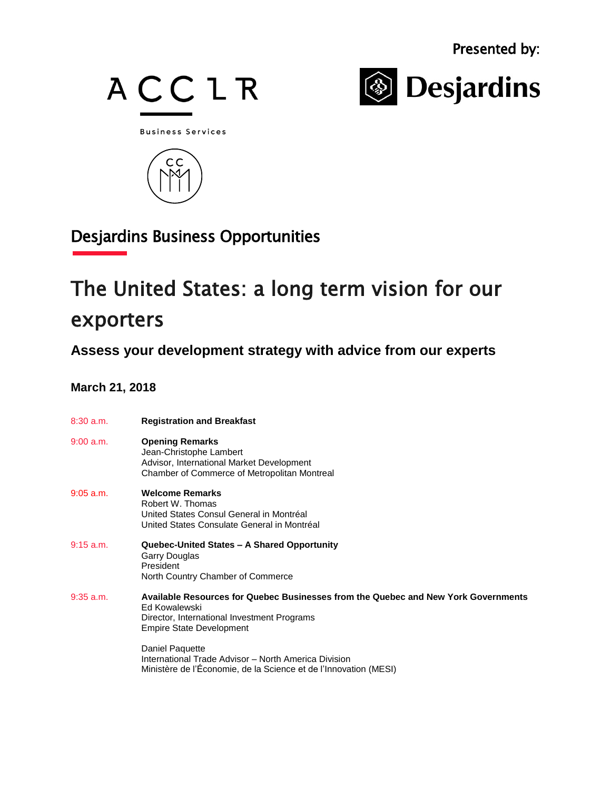



**Business Services** 



## Desjardins Business Opportunities

## The United States: a long term vision for our exporters

**Assess your development strategy with advice from our experts**

## **March 21, 2018**

| $8:30$ a.m. | <b>Registration and Breakfast</b>                                                                                                                                                     |
|-------------|---------------------------------------------------------------------------------------------------------------------------------------------------------------------------------------|
| 9:00 a.m.   | <b>Opening Remarks</b><br>Jean-Christophe Lambert<br>Advisor, International Market Development<br>Chamber of Commerce of Metropolitan Montreal                                        |
| $9:05$ a.m. | <b>Welcome Remarks</b><br>Robert W. Thomas<br>United States Consul General in Montréal<br>United States Consulate General in Montréal                                                 |
| $9:15$ a.m. | Quebec-United States - A Shared Opportunity<br>Garry Douglas<br>President<br>North Country Chamber of Commerce                                                                        |
| $9:35$ a.m. | Available Resources for Quebec Businesses from the Quebec and New York Governments<br>Ed Kowalewski<br>Director, International Investment Programs<br><b>Empire State Development</b> |
|             | Daniel Paquette<br>International Trade Advisor - North America Division<br>Ministère de l'Économie, de la Science et de l'Innovation (MESI)                                           |